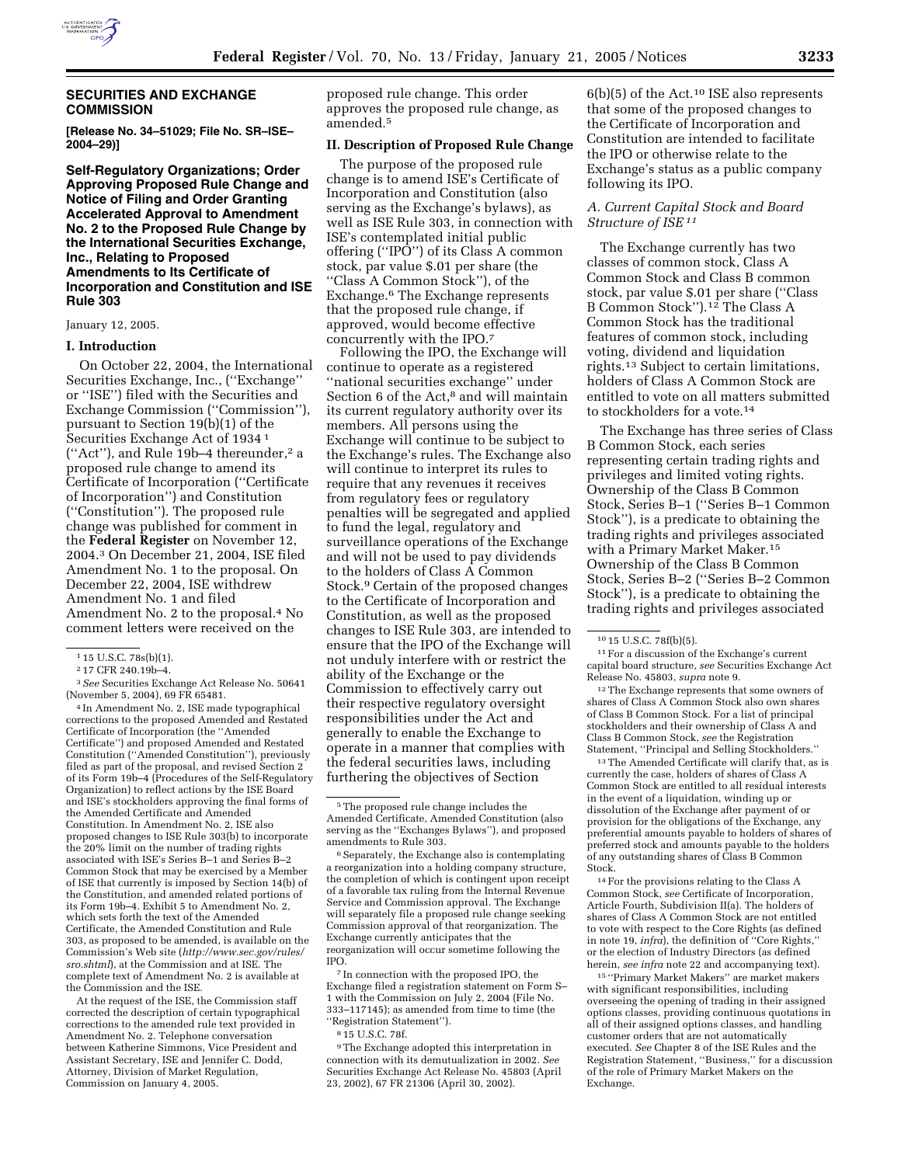

# **SECURITIES AND EXCHANGE COMMISSION**

**[Release No. 34–51029; File No. SR–ISE– 2004–29)]** 

**Self-Regulatory Organizations; Order Approving Proposed Rule Change and Notice of Filing and Order Granting Accelerated Approval to Amendment No. 2 to the Proposed Rule Change by the International Securities Exchange, Inc., Relating to Proposed Amendments to Its Certificate of Incorporation and Constitution and ISE Rule 303**

#### January 12, 2005.

### **I. Introduction**

On October 22, 2004, the International Securities Exchange, Inc., (''Exchange'' or ''ISE'') filed with the Securities and Exchange Commission (''Commission''), pursuant to Section 19(b)(1) of the Securities Exchange Act of 1934 1 (''Act''), and Rule 19b–4 thereunder,2 a proposed rule change to amend its Certificate of Incorporation (''Certificate of Incorporation'') and Constitution (''Constitution''). The proposed rule change was published for comment in the **Federal Register** on November 12, 2004.3 On December 21, 2004, ISE filed Amendment No. 1 to the proposal. On December 22, 2004, ISE withdrew Amendment No. 1 and filed Amendment No. 2 to the proposal.4 No comment letters were received on the

3*See* Securities Exchange Act Release No. 50641 (November 5, 2004), 69 FR 65481.

4 In Amendment No. 2, ISE made typographical corrections to the proposed Amended and Restated Certificate of Incorporation (the ''Amended Certificate'') and proposed Amended and Restated Constitution (''Amended Constitution''), previously filed as part of the proposal, and revised Section 2 of its Form 19b–4 (Procedures of the Self-Regulatory Organization) to reflect actions by the ISE Board and ISE's stockholders approving the final forms of the Amended Certificate and Amended Constitution. In Amendment No. 2, ISE also proposed changes to ISE Rule 303(b) to incorporate the 20% limit on the number of trading rights associated with ISE's Series B–1 and Series B–2 Common Stock that may be exercised by a Member of ISE that currently is imposed by Section 14(b) of the Constitution, and amended related portions of its Form 19b–4. Exhibit 5 to Amendment No. 2, which sets forth the text of the Amended Certificate, the Amended Constitution and Rule 303, as proposed to be amended, is available on the Commission's Web site (*http://www.sec.gov/rules/ sro.shtml*), at the Commission and at ISE. The complete text of Amendment No. 2 is available at the Commission and the ISE.

At the request of the ISE, the Commission staff corrected the description of certain typographical corrections to the amended rule text provided in Amendment No. 2. Telephone conversation between Katherine Simmons, Vice President and Assistant Secretary, ISE and Jennifer C. Dodd, Attorney, Division of Market Regulation, Commission on January 4, 2005.

proposed rule change. This order approves the proposed rule change, as amended.5

#### **II. Description of Proposed Rule Change**

The purpose of the proposed rule change is to amend ISE's Certificate of Incorporation and Constitution (also serving as the Exchange's bylaws), as well as ISE Rule 303, in connection with ISE's contemplated initial public offering (''IPO'') of its Class A common stock, par value \$.01 per share (the ''Class A Common Stock''), of the Exchange.6 The Exchange represents that the proposed rule change, if approved, would become effective concurrently with the IPO.7

Following the IPO, the Exchange will continue to operate as a registered ''national securities exchange'' under Section 6 of the Act,<sup>8</sup> and will maintain its current regulatory authority over its members. All persons using the Exchange will continue to be subject to the Exchange's rules. The Exchange also will continue to interpret its rules to require that any revenues it receives from regulatory fees or regulatory penalties will be segregated and applied to fund the legal, regulatory and surveillance operations of the Exchange and will not be used to pay dividends to the holders of Class A Common Stock.9 Certain of the proposed changes to the Certificate of Incorporation and Constitution, as well as the proposed changes to ISE Rule 303, are intended to ensure that the IPO of the Exchange will not unduly interfere with or restrict the ability of the Exchange or the Commission to effectively carry out their respective regulatory oversight responsibilities under the Act and generally to enable the Exchange to operate in a manner that complies with the federal securities laws, including furthering the objectives of Section

<sup>6</sup> Separately, the Exchange also is contemplating a reorganization into a holding company structure, the completion of which is contingent upon receipt of a favorable tax ruling from the Internal Revenue Service and Commission approval. The Exchange will separately file a proposed rule change seeking Commission approval of that reorganization. The Exchange currently anticipates that the reorganization will occur sometime following the IPO.

7 In connection with the proposed IPO, the Exchange filed a registration statement on Form S– 1 with the Commission on July 2, 2004 (File No. 333–117145); as amended from time to time (the ''Registration Statement'').

9The Exchange adopted this interpretation in connection with its demutualization in 2002. *See* Securities Exchange Act Release No. 45803 (April 23, 2002), 67 FR 21306 (April 30, 2002).

6(b)(5) of the Act.10 ISE also represents that some of the proposed changes to the Certificate of Incorporation and Constitution are intended to facilitate the IPO or otherwise relate to the Exchange's status as a public company following its IPO.

# *A. Current Capital Stock and Board Structure of ISE 11*

The Exchange currently has two classes of common stock, Class A Common Stock and Class B common stock, par value \$.01 per share (''Class B Common Stock'').12 The Class A Common Stock has the traditional features of common stock, including voting, dividend and liquidation rights.13 Subject to certain limitations, holders of Class A Common Stock are entitled to vote on all matters submitted to stockholders for a vote.14

The Exchange has three series of Class B Common Stock, each series representing certain trading rights and privileges and limited voting rights. Ownership of the Class B Common Stock, Series B–1 (''Series B–1 Common Stock''), is a predicate to obtaining the trading rights and privileges associated with a Primary Market Maker.15 Ownership of the Class B Common Stock, Series B–2 (''Series B–2 Common Stock''), is a predicate to obtaining the trading rights and privileges associated

11For a discussion of the Exchange's current capital board structure, *see* Securities Exchange Act Release No. 45803, *supra* note 9.

12The Exchange represents that some owners of shares of Class A Common Stock also own shares of Class B Common Stock. For a list of principal stockholders and their ownership of Class A and Class B Common Stock, *see* the Registration Statement, ''Principal and Selling Stockholders.''

13The Amended Certificate will clarify that, as is currently the case, holders of shares of Class A Common Stock are entitled to all residual interests in the event of a liquidation, winding up or dissolution of the Exchange after payment of or provision for the obligations of the Exchange, any preferential amounts payable to holders of shares of preferred stock and amounts payable to the holders of any outstanding shares of Class B Common Stock.

 $^{14}\mathrm{For}$  the provisions relating to the Class A Common Stock, *see* Certificate of Incorporation, Article Fourth, Subdivision II(a). The holders of shares of Class A Common Stock are not entitled to vote with respect to the Core Rights (as defined in note 19, *infra*), the definition of ''Core Rights,'' or the election of Industry Directors (as defined herein, *see infra* note 22 and accompanying text).

15 ''Primary Market Makers'' are market makers with significant responsibilities, including overseeing the opening of trading in their assigned options classes, providing continuous quotations in all of their assigned options classes, and handling customer orders that are not automatically executed. *See* Chapter 8 of the ISE Rules and the Registration Statement, ''Business,'' for a discussion of the role of Primary Market Makers on the Exchange.

<sup>1</sup> 15 U.S.C. 78s(b)(1).

<sup>2</sup> 17 CFR 240.19b–4.

<sup>5</sup>The proposed rule change includes the Amended Certificate, Amended Constitution (also serving as the ''Exchanges Bylaws''), and proposed amendments to Rule 303.

<sup>8</sup> 15 U.S.C. 78f.

<sup>10</sup> 15 U.S.C. 78f(b)(5).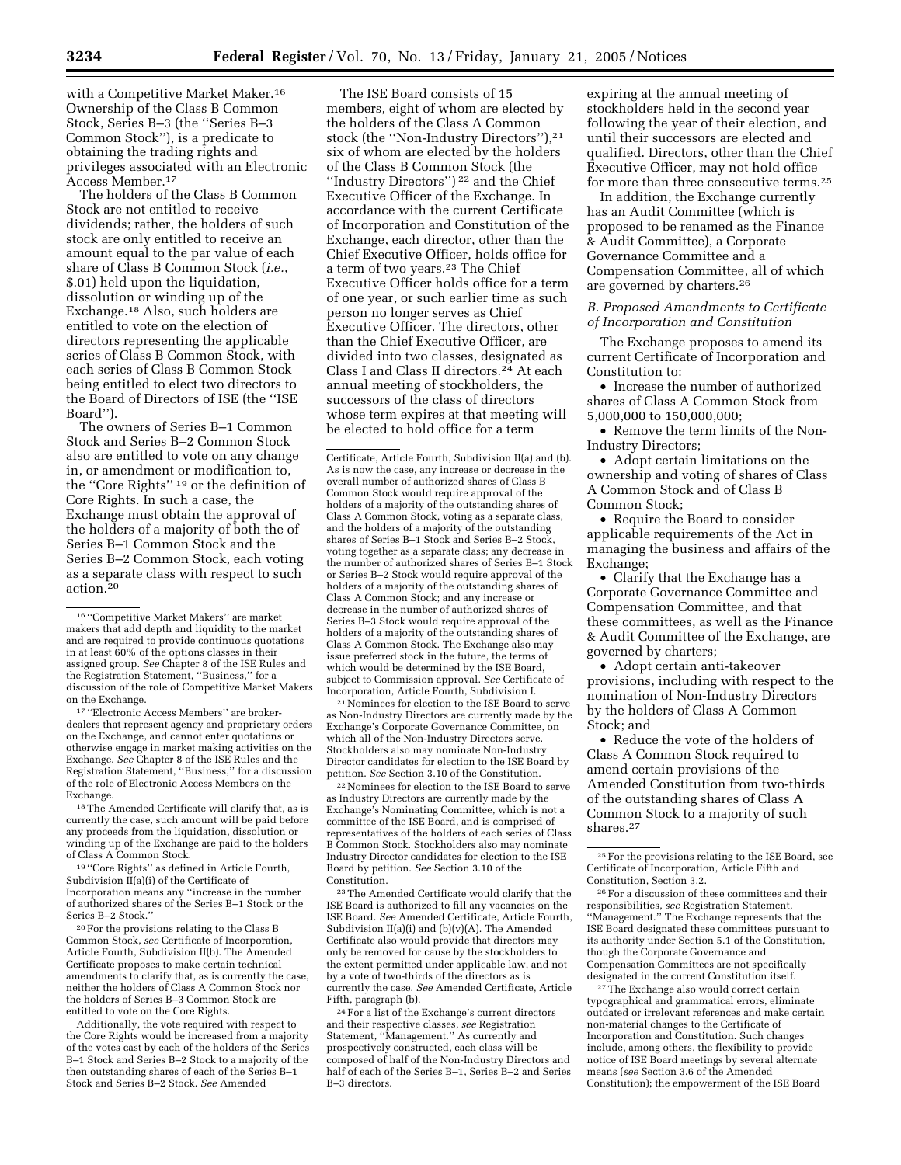with a Competitive Market Maker.16 Ownership of the Class B Common Stock, Series B–3 (the ''Series B–3 Common Stock''), is a predicate to obtaining the trading rights and privileges associated with an Electronic Access Member.17

The holders of the Class B Common Stock are not entitled to receive dividends; rather, the holders of such stock are only entitled to receive an amount equal to the par value of each share of Class B Common Stock (*i.e.*, \$.01) held upon the liquidation, dissolution or winding up of the Exchange.18 Also, such holders are entitled to vote on the election of directors representing the applicable series of Class B Common Stock, with each series of Class B Common Stock being entitled to elect two directors to the Board of Directors of ISE (the ''ISE Board'').

The owners of Series B–1 Common Stock and Series B–2 Common Stock also are entitled to vote on any change in, or amendment or modification to, the ''Core Rights'' 19 or the definition of Core Rights. In such a case, the Exchange must obtain the approval of the holders of a majority of both the of Series B–1 Common Stock and the Series B–2 Common Stock, each voting as a separate class with respect to such action.20

17 ''Electronic Access Members'' are brokerdealers that represent agency and proprietary orders on the Exchange, and cannot enter quotations or otherwise engage in market making activities on the Exchange. *See* Chapter 8 of the ISE Rules and the Registration Statement, ''Business,'' for a discussion of the role of Electronic Access Members on the Exchange.

18The Amended Certificate will clarify that, as is currently the case, such amount will be paid before any proceeds from the liquidation, dissolution or winding up of the Exchange are paid to the holders of Class A Common Stock.

19 ''Core Rights'' as defined in Article Fourth, Subdivision II(a)(i) of the Certificate of Incorporation means any ''increase in the number of authorized shares of the Series B–1 Stock or the Series B–2 Stock.''

20For the provisions relating to the Class B Common Stock, *see* Certificate of Incorporation, Article Fourth, Subdivision II(b). The Amended Certificate proposes to make certain technical amendments to clarify that, as is currently the case, neither the holders of Class A Common Stock nor the holders of Series B–3 Common Stock are entitled to vote on the Core Rights.

Additionally, the vote required with respect to the Core Rights would be increased from a majority of the votes cast by each of the holders of the Series B–1 Stock and Series B–2 Stock to a majority of the then outstanding shares of each of the Series B–1 Stock and Series B–2 Stock. *See* Amended

The ISE Board consists of 15 members, eight of whom are elected by the holders of the Class A Common stock (the ''Non-Industry Directors''),21 six of whom are elected by the holders of the Class B Common Stock (the ''Industry Directors'') 22 and the Chief Executive Officer of the Exchange. In accordance with the current Certificate of Incorporation and Constitution of the Exchange, each director, other than the Chief Executive Officer, holds office for a term of two years.23 The Chief Executive Officer holds office for a term of one year, or such earlier time as such person no longer serves as Chief Executive Officer. The directors, other than the Chief Executive Officer, are divided into two classes, designated as Class I and Class II directors.24 At each annual meeting of stockholders, the successors of the class of directors whose term expires at that meeting will be elected to hold office for a term

Certificate, Article Fourth, Subdivision II(a) and (b). As is now the case, any increase or decrease in the overall number of authorized shares of Class B Common Stock would require approval of the holders of a majority of the outstanding shares of Class A Common Stock, voting as a separate class, and the holders of a majority of the outstanding shares of Series B–1 Stock and Series B–2 Stock, voting together as a separate class; any decrease in the number of authorized shares of Series B–1 Stock or Series B–2 Stock would require approval of the holders of a majority of the outstanding shares of Class A Common Stock; and any increase or decrease in the number of authorized shares of Series B–3 Stock would require approval of the holders of a majority of the outstanding shares of Class A Common Stock. The Exchange also may issue preferred stock in the future, the terms of which would be determined by the ISE Board, subject to Commission approval. *See* Certificate of Incorporation, Article Fourth, Subdivision I.

<sup>21</sup> Nominees for election to the ISE Board to serve as Non-Industry Directors are currently made by the Exchange's Corporate Governance Committee, on which all of the Non-Industry Directors serve. Stockholders also may nominate Non-Industry Director candidates for election to the ISE Board by petition. *See* Section 3.10 of the Constitution.

22Nominees for election to the ISE Board to serve as Industry Directors are currently made by the Exchange's Nominating Committee, which is not a committee of the ISE Board, and is comprised of representatives of the holders of each series of Class B Common Stock. Stockholders also may nominate Industry Director candidates for election to the ISE Board by petition. *See* Section 3.10 of the Constitution.

23The Amended Certificate would clarify that the ISE Board is authorized to fill any vacancies on the ISE Board. *See* Amended Certificate, Article Fourth, Subdivision II(a)(i) and (b)(v)(A). The Amended Certificate also would provide that directors may only be removed for cause by the stockholders to the extent permitted under applicable law, and not by a vote of two-thirds of the directors as is currently the case. *See* Amended Certificate, Article Fifth, paragraph (b).

24For a list of the Exchange's current directors and their respective classes, *see* Registration Statement, ''Management.'' As currently and prospectively constructed, each class will be composed of half of the Non-Industry Directors and half of each of the Series B–1, Series B–2 and Series B–3 directors.

expiring at the annual meeting of stockholders held in the second year following the year of their election, and until their successors are elected and qualified. Directors, other than the Chief Executive Officer, may not hold office for more than three consecutive terms.25

In addition, the Exchange currently has an Audit Committee (which is proposed to be renamed as the Finance & Audit Committee), a Corporate Governance Committee and a Compensation Committee, all of which are governed by charters.26

## *B. Proposed Amendments to Certificate of Incorporation and Constitution*

The Exchange proposes to amend its current Certificate of Incorporation and Constitution to:

• Increase the number of authorized shares of Class A Common Stock from 5,000,000 to 150,000,000;

• Remove the term limits of the Non-Industry Directors;

• Adopt certain limitations on the ownership and voting of shares of Class A Common Stock and of Class B Common Stock;

• Require the Board to consider applicable requirements of the Act in managing the business and affairs of the Exchange;

• Clarify that the Exchange has a Corporate Governance Committee and Compensation Committee, and that these committees, as well as the Finance & Audit Committee of the Exchange, are governed by charters;

• Adopt certain anti-takeover provisions, including with respect to the nomination of Non-Industry Directors by the holders of Class A Common Stock; and

• Reduce the vote of the holders of Class A Common Stock required to amend certain provisions of the Amended Constitution from two-thirds of the outstanding shares of Class A Common Stock to a majority of such shares.27

25For the provisions relating to the ISE Board, see Certificate of Incorporation, Article Fifth and Constitution, Section 3.2.

26For a discussion of these committees and their responsibilities, *see* Registration Statement, ''Management.'' The Exchange represents that the ISE Board designated these committees pursuant to its authority under Section 5.1 of the Constitution, though the Corporate Governance and Compensation Committees are not specifically designated in the current Constitution itself.

<sup>27</sup>The Exchange also would correct certain typographical and grammatical errors, eliminate outdated or irrelevant references and make certain non-material changes to the Certificate of Incorporation and Constitution. Such changes include, among others, the flexibility to provide notice of ISE Board meetings by several alternate means (*see* Section 3.6 of the Amended Constitution); the empowerment of the ISE Board

<sup>16</sup> ''Competitive Market Makers'' are market makers that add depth and liquidity to the market and are required to provide continuous quotations in at least 60% of the options classes in their assigned group. *See* Chapter 8 of the ISE Rules and the Registration Statement, ''Business,'' for a discussion of the role of Competitive Market Makers on the Exchange.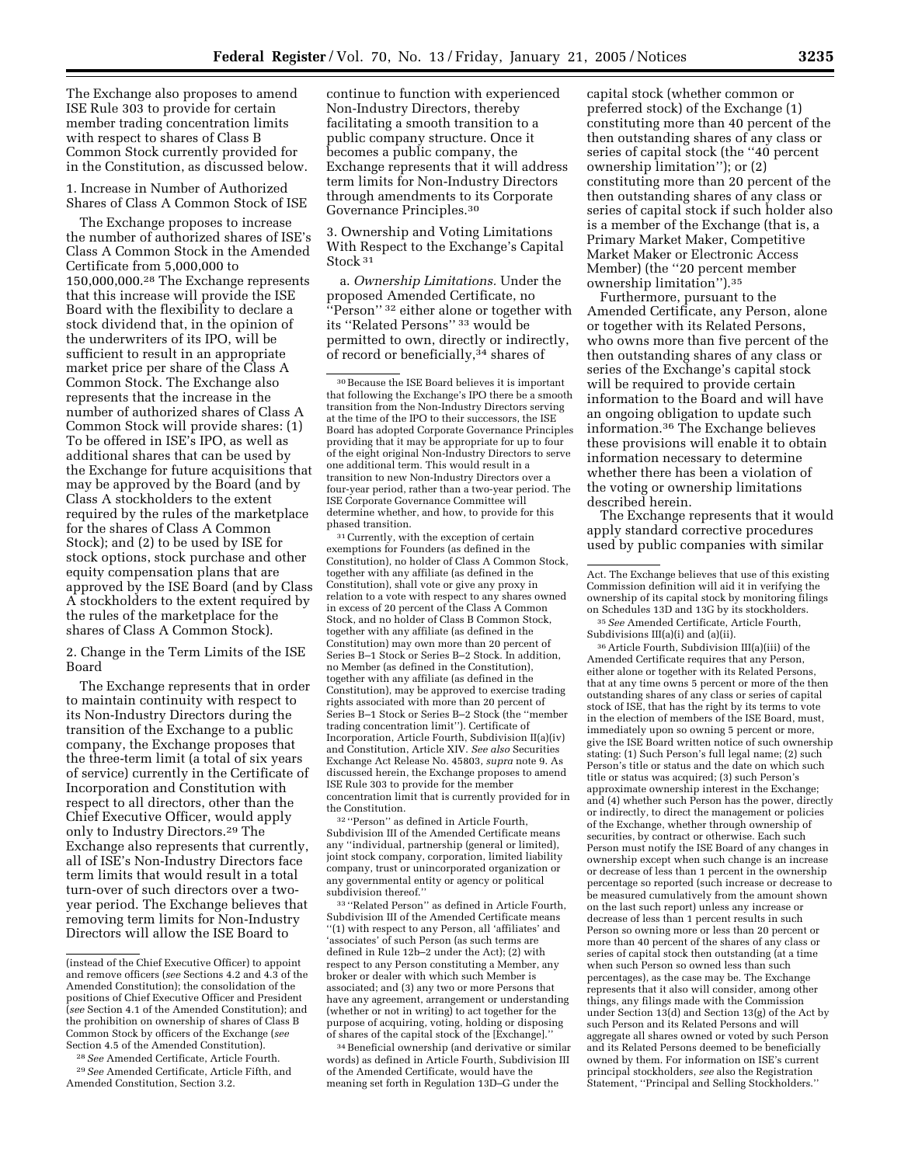The Exchange also proposes to amend ISE Rule 303 to provide for certain member trading concentration limits with respect to shares of Class B Common Stock currently provided for in the Constitution, as discussed below.

1. Increase in Number of Authorized Shares of Class A Common Stock of ISE

The Exchange proposes to increase the number of authorized shares of ISE's Class A Common Stock in the Amended Certificate from 5,000,000 to 150,000,000.28 The Exchange represents that this increase will provide the ISE Board with the flexibility to declare a stock dividend that, in the opinion of the underwriters of its IPO, will be sufficient to result in an appropriate market price per share of the Class A Common Stock. The Exchange also represents that the increase in the number of authorized shares of Class A Common Stock will provide shares: (1) To be offered in ISE's IPO, as well as additional shares that can be used by the Exchange for future acquisitions that may be approved by the Board (and by Class A stockholders to the extent required by the rules of the marketplace for the shares of Class A Common Stock); and (2) to be used by ISE for stock options, stock purchase and other equity compensation plans that are approved by the ISE Board (and by Class A stockholders to the extent required by the rules of the marketplace for the shares of Class A Common Stock).

2. Change in the Term Limits of the ISE Board

The Exchange represents that in order to maintain continuity with respect to its Non-Industry Directors during the transition of the Exchange to a public company, the Exchange proposes that the three-term limit (a total of six years of service) currently in the Certificate of Incorporation and Constitution with respect to all directors, other than the Chief Executive Officer, would apply only to Industry Directors.29 The Exchange also represents that currently, all of ISE's Non-Industry Directors face term limits that would result in a total turn-over of such directors over a twoyear period. The Exchange believes that removing term limits for Non-Industry Directors will allow the ISE Board to

continue to function with experienced Non-Industry Directors, thereby facilitating a smooth transition to a public company structure. Once it becomes a public company, the Exchange represents that it will address term limits for Non-Industry Directors through amendments to its Corporate Governance Principles.30

3. Ownership and Voting Limitations With Respect to the Exchange's Capital Stock 31

a. *Ownership Limitations.* Under the proposed Amended Certificate, no "Person" <sup>32</sup> either alone or together with its ''Related Persons'' 33 would be permitted to own, directly or indirectly, of record or beneficially,  $34$  shares of

 $\rm{^{31}Currently},$  with the exception of certain exemptions for Founders (as defined in the Constitution), no holder of Class A Common Stock, together with any affiliate (as defined in the Constitution), shall vote or give any proxy in relation to a vote with respect to any shares owned in excess of 20 percent of the Class A Common Stock, and no holder of Class B Common Stock, together with any affiliate (as defined in the Constitution) may own more than 20 percent of Series B–1 Stock or Series B–2 Stock. In addition, no Member (as defined in the Constitution), together with any affiliate (as defined in the Constitution), may be approved to exercise trading rights associated with more than 20 percent of Series B–1 Stock or Series B–2 Stock (the ''member trading concentration limit''). Certificate of Incorporation, Article Fourth, Subdivision II(a)(iv) and Constitution, Article XIV. *See also* Securities Exchange Act Release No. 45803, *supra* note 9. As discussed herein, the Exchange proposes to amend ISE Rule 303 to provide for the member concentration limit that is currently provided for in the Constitution.

 $^{\rm 32\, \prime \prime}$  Person'' as defined in Article Fourth, Subdivision III of the Amended Certificate means any ''individual, partnership (general or limited), joint stock company, corporation, limited liability company, trust or unincorporated organization or any governmental entity or agency or political subdivision thereof.''

33 ''Related Person'' as defined in Article Fourth, Subdivision III of the Amended Certificate means ''(1) with respect to any Person, all 'affiliates' and 'associates' of such Person (as such terms are defined in Rule 12b–2 under the Act); (2) with respect to any Person constituting a Member, any broker or dealer with which such Member is associated; and (3) any two or more Persons that have any agreement, arrangement or understanding (whether or not in writing) to act together for the purpose of acquiring, voting, holding or disposing of shares of the capital stock of the [Exchange].''

34Beneficial ownership (and derivative or similar words) as defined in Article Fourth, Subdivision III of the Amended Certificate, would have the meaning set forth in Regulation 13D–G under the

capital stock (whether common or preferred stock) of the Exchange (1) constituting more than 40 percent of the then outstanding shares of any class or series of capital stock (the ''40 percent ownership limitation''); or (2) constituting more than 20 percent of the then outstanding shares of any class or series of capital stock if such holder also is a member of the Exchange (that is, a Primary Market Maker, Competitive Market Maker or Electronic Access Member) (the ''20 percent member ownership limitation'').35

Furthermore, pursuant to the Amended Certificate, any Person, alone or together with its Related Persons, who owns more than five percent of the then outstanding shares of any class or series of the Exchange's capital stock will be required to provide certain information to the Board and will have an ongoing obligation to update such information.36 The Exchange believes these provisions will enable it to obtain information necessary to determine whether there has been a violation of the voting or ownership limitations described herein.

The Exchange represents that it would apply standard corrective procedures used by public companies with similar

35*See* Amended Certificate, Article Fourth, Subdivisions III(a)(i) and (a)(ii).

36Article Fourth, Subdivision III(a)(iii) of the Amended Certificate requires that any Person, either alone or together with its Related Persons, that at any time owns 5 percent or more of the then outstanding shares of any class or series of capital stock of ISE, that has the right by its terms to vote in the election of members of the ISE Board, must, immediately upon so owning 5 percent or more, give the ISE Board written notice of such ownership stating: (1) Such Person's full legal name; (2) such Person's title or status and the date on which such title or status was acquired; (3) such Person's approximate ownership interest in the Exchange; and (4) whether such Person has the power, directly or indirectly, to direct the management or policies of the Exchange, whether through ownership of securities, by contract or otherwise. Each such Person must notify the ISE Board of any changes in ownership except when such change is an increase or decrease of less than 1 percent in the ownership percentage so reported (such increase or decrease to be measured cumulatively from the amount shown on the last such report) unless any increase or decrease of less than 1 percent results in such Person so owning more or less than 20 percent or more than 40 percent of the shares of any class or series of capital stock then outstanding (at a time when such Person so owned less than such percentages), as the case may be. The Exchange represents that it also will consider, among other things, any filings made with the Commission under Section 13(d) and Section 13(g) of the Act by such Person and its Related Persons and will aggregate all shares owned or voted by such Person and its Related Persons deemed to be beneficially owned by them. For information on ISE's current principal stockholders, *see* also the Registration Statement, ''Principal and Selling Stockholders.''

<sup>(</sup>instead of the Chief Executive Officer) to appoint and remove officers (*see* Sections 4.2 and 4.3 of the Amended Constitution); the consolidation of the positions of Chief Executive Officer and President (*see* Section 4.1 of the Amended Constitution); and the prohibition on ownership of shares of Class B Common Stock by officers of the Exchange (*see* Section 4.5 of the Amended Constitution).

<sup>28</sup>*See* Amended Certificate, Article Fourth.

<sup>29</sup>*See* Amended Certificate, Article Fifth, and Amended Constitution, Section 3.2.

<sup>30</sup>Because the ISE Board believes it is important that following the Exchange's IPO there be a smooth transition from the Non-Industry Directors serving at the time of the IPO to their successors, the ISE Board has adopted Corporate Governance Principles providing that it may be appropriate for up to four of the eight original Non-Industry Directors to serve one additional term. This would result in a transition to new Non-Industry Directors over a four-year period, rather than a two-year period. The ISE Corporate Governance Committee will determine whether, and how, to provide for this phased transition.

Act. The Exchange believes that use of this existing Commission definition will aid it in verifying the ownership of its capital stock by monitoring filings on Schedules 13D and 13G by its stockholders.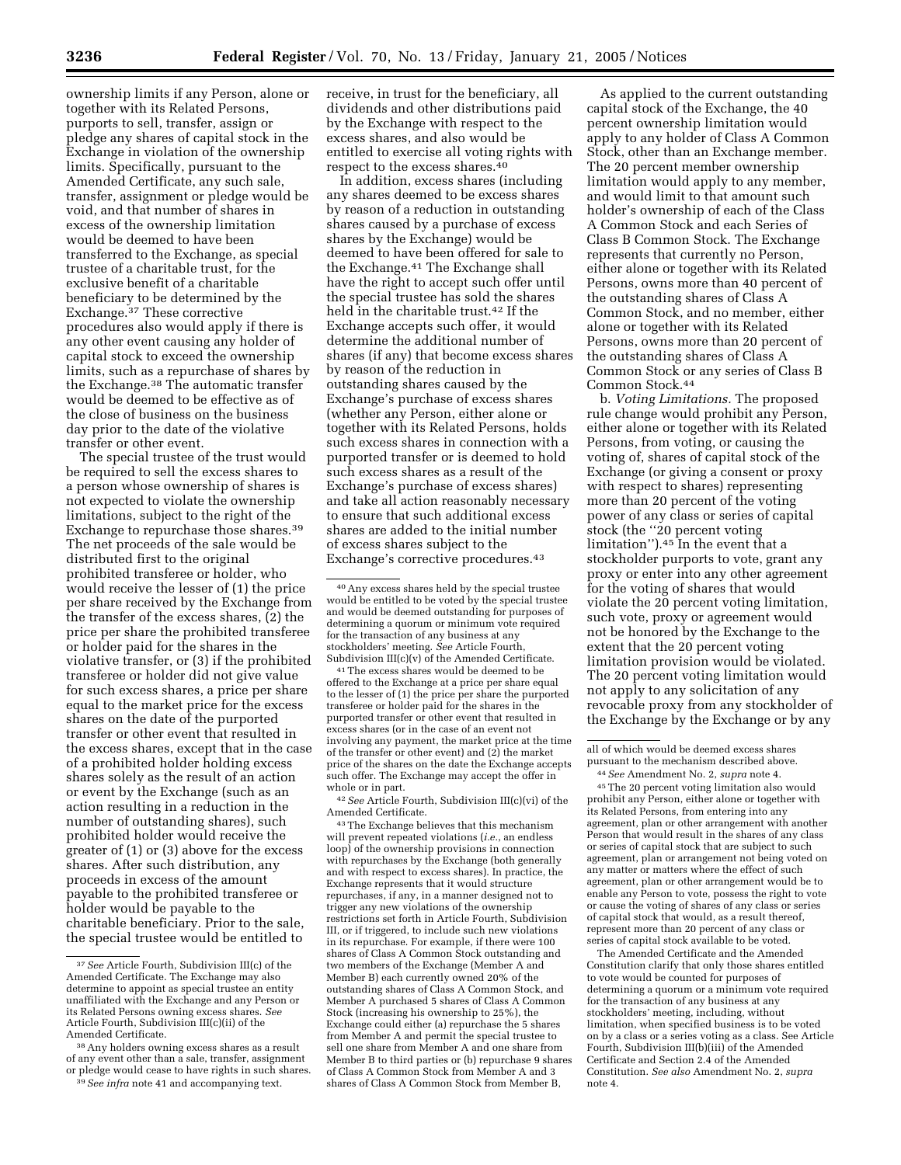ownership limits if any Person, alone or together with its Related Persons, purports to sell, transfer, assign or pledge any shares of capital stock in the Exchange in violation of the ownership limits. Specifically, pursuant to the Amended Certificate, any such sale, transfer, assignment or pledge would be void, and that number of shares in excess of the ownership limitation would be deemed to have been transferred to the Exchange, as special trustee of a charitable trust, for the exclusive benefit of a charitable beneficiary to be determined by the Exchange.37 These corrective procedures also would apply if there is any other event causing any holder of capital stock to exceed the ownership limits, such as a repurchase of shares by the Exchange.38 The automatic transfer would be deemed to be effective as of the close of business on the business day prior to the date of the violative transfer or other event.

The special trustee of the trust would be required to sell the excess shares to a person whose ownership of shares is not expected to violate the ownership limitations, subject to the right of the Exchange to repurchase those shares.39 The net proceeds of the sale would be distributed first to the original prohibited transferee or holder, who would receive the lesser of (1) the price per share received by the Exchange from the transfer of the excess shares, (2) the price per share the prohibited transferee or holder paid for the shares in the violative transfer, or (3) if the prohibited transferee or holder did not give value for such excess shares, a price per share equal to the market price for the excess shares on the date of the purported transfer or other event that resulted in the excess shares, except that in the case of a prohibited holder holding excess shares solely as the result of an action or event by the Exchange (such as an action resulting in a reduction in the number of outstanding shares), such prohibited holder would receive the greater of (1) or (3) above for the excess shares. After such distribution, any proceeds in excess of the amount payable to the prohibited transferee or holder would be payable to the charitable beneficiary. Prior to the sale, the special trustee would be entitled to

In addition, excess shares (including any shares deemed to be excess shares by reason of a reduction in outstanding shares caused by a purchase of excess shares by the Exchange) would be deemed to have been offered for sale to the Exchange.41 The Exchange shall have the right to accept such offer until the special trustee has sold the shares held in the charitable trust.42 If the Exchange accepts such offer, it would determine the additional number of shares (if any) that become excess shares by reason of the reduction in outstanding shares caused by the Exchange's purchase of excess shares (whether any Person, either alone or together with its Related Persons, holds such excess shares in connection with a purported transfer or is deemed to hold such excess shares as a result of the Exchange's purchase of excess shares) and take all action reasonably necessary to ensure that such additional excess shares are added to the initial number of excess shares subject to the Exchange's corrective procedures.43

41The excess shares would be deemed to be offered to the Exchange at a price per share equal to the lesser of (1) the price per share the purported transferee or holder paid for the shares in the purported transfer or other event that resulted in excess shares (or in the case of an event not involving any payment, the market price at the time of the transfer or other event) and (2) the market price of the shares on the date the Exchange accepts such offer. The Exchange may accept the offer in whole or in part.

42*See* Article Fourth, Subdivision III(c)(vi) of the Amended Certificate.

43The Exchange believes that this mechanism will prevent repeated violations (*i.e.*, an endless loop) of the ownership provisions in connection with repurchases by the Exchange (both generally and with respect to excess shares). In practice, the Exchange represents that it would structure repurchases, if any, in a manner designed not to trigger any new violations of the ownership restrictions set forth in Article Fourth, Subdivision III, or if triggered, to include such new violations in its repurchase. For example, if there were 100 shares of Class A Common Stock outstanding and two members of the Exchange (Member A and Member B) each currently owned 20% of the outstanding shares of Class A Common Stock, and Member A purchased 5 shares of Class A Common Stock (increasing his ownership to 25%), the Exchange could either (a) repurchase the 5 shares from Member A and permit the special trustee to sell one share from Member A and one share from Member B to third parties or (b) repurchase 9 shares of Class A Common Stock from Member A and 3 shares of Class A Common Stock from Member B,

As applied to the current outstanding capital stock of the Exchange, the 40 percent ownership limitation would apply to any holder of Class A Common Stock, other than an Exchange member. The 20 percent member ownership limitation would apply to any member, and would limit to that amount such holder's ownership of each of the Class A Common Stock and each Series of Class B Common Stock. The Exchange represents that currently no Person, either alone or together with its Related Persons, owns more than 40 percent of the outstanding shares of Class A Common Stock, and no member, either alone or together with its Related Persons, owns more than 20 percent of the outstanding shares of Class A Common Stock or any series of Class B Common Stock.44

b. *Voting Limitations.* The proposed rule change would prohibit any Person, either alone or together with its Related Persons, from voting, or causing the voting of, shares of capital stock of the Exchange (or giving a consent or proxy with respect to shares) representing more than 20 percent of the voting power of any class or series of capital stock (the ''20 percent voting limitation'').45 In the event that a stockholder purports to vote, grant any proxy or enter into any other agreement for the voting of shares that would violate the 20 percent voting limitation, such vote, proxy or agreement would not be honored by the Exchange to the extent that the 20 percent voting limitation provision would be violated. The 20 percent voting limitation would not apply to any solicitation of any revocable proxy from any stockholder of the Exchange by the Exchange or by any

45The 20 percent voting limitation also would prohibit any Person, either alone or together with its Related Persons, from entering into any agreement, plan or other arrangement with another Person that would result in the shares of any class or series of capital stock that are subject to such agreement, plan or arrangement not being voted on any matter or matters where the effect of such agreement, plan or other arrangement would be to enable any Person to vote, possess the right to vote or cause the voting of shares of any class or series of capital stock that would, as a result thereof, represent more than 20 percent of any class or series of capital stock available to be voted.

The Amended Certificate and the Amended Constitution clarify that only those shares entitled to vote would be counted for purposes of determining a quorum or a minimum vote required for the transaction of any business at any stockholders' meeting, including, without limitation, when specified business is to be voted on by a class or a series voting as a class. See Article Fourth, Subdivision III(b)(iii) of the Amended Certificate and Section 2.4 of the Amended Constitution. *See also* Amendment No. 2, *supra* note 4.

<sup>37</sup>*See* Article Fourth, Subdivision III(c) of the Amended Certificate. The Exchange may also determine to appoint as special trustee an entity unaffiliated with the Exchange and any Person or its Related Persons owning excess shares. *See* Article Fourth, Subdivision III(c)(ii) of the Amended Certificate.

<sup>38</sup>Any holders owning excess shares as a result of any event other than a sale, transfer, assignment or pledge would cease to have rights in such shares. 39*See infra* note 41 and accompanying text.

receive, in trust for the beneficiary, all dividends and other distributions paid by the Exchange with respect to the excess shares, and also would be entitled to exercise all voting rights with respect to the excess shares.<sup>40</sup>

<sup>40</sup>Any excess shares held by the special trustee would be entitled to be voted by the special trustee and would be deemed outstanding for purposes of determining a quorum or minimum vote required for the transaction of any business at any stockholders' meeting. *See* Article Fourth, Subdivision III(c)(v) of the Amended Certificate.

all of which would be deemed excess shares pursuant to the mechanism described above.

<sup>44</sup>*See* Amendment No. 2, *supra* note 4.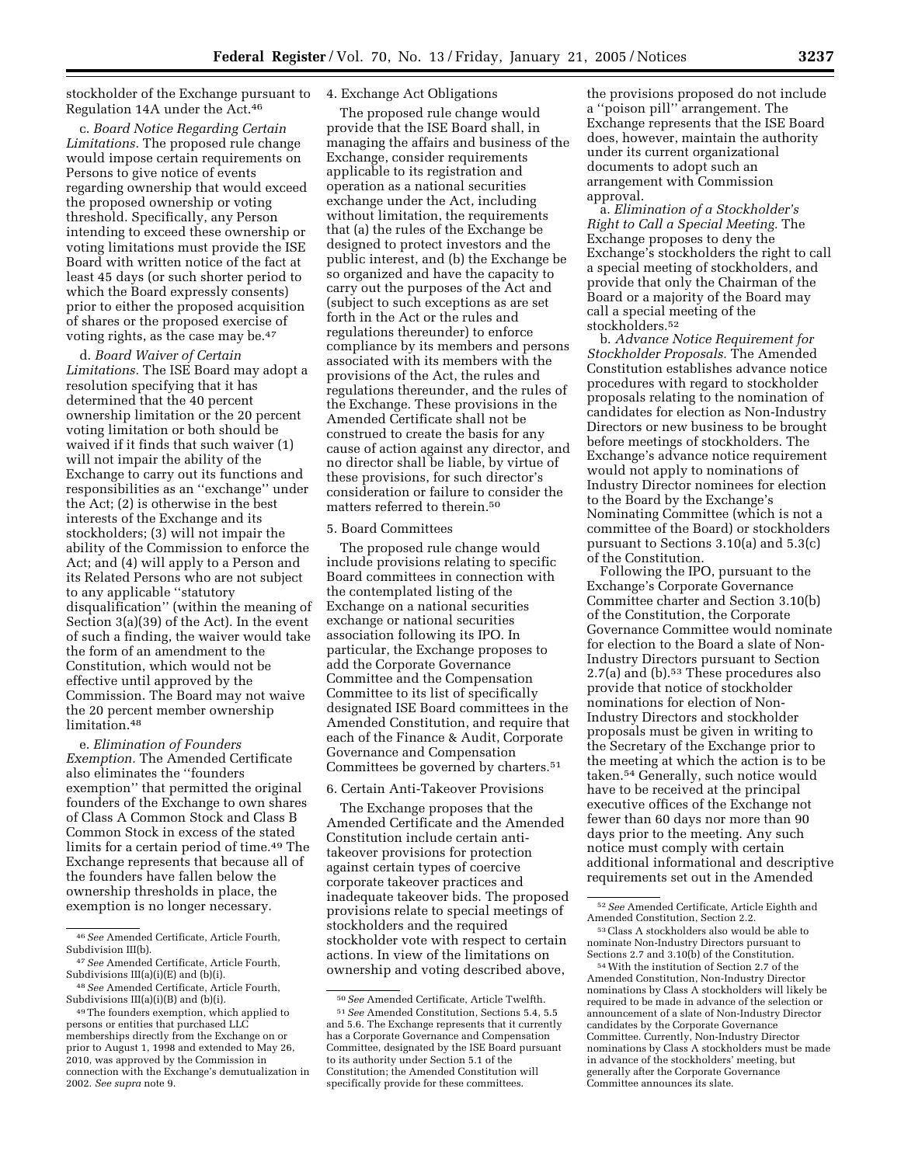stockholder of the Exchange pursuant to Regulation 14A under the Act.46

c. *Board Notice Regarding Certain Limitations.* The proposed rule change would impose certain requirements on Persons to give notice of events regarding ownership that would exceed the proposed ownership or voting threshold. Specifically, any Person intending to exceed these ownership or voting limitations must provide the ISE Board with written notice of the fact at least 45 days (or such shorter period to which the Board expressly consents) prior to either the proposed acquisition of shares or the proposed exercise of voting rights, as the case may be.47

d. *Board Waiver of Certain Limitations.* The ISE Board may adopt a resolution specifying that it has determined that the 40 percent ownership limitation or the 20 percent voting limitation or both should be waived if it finds that such waiver (1) will not impair the ability of the Exchange to carry out its functions and responsibilities as an ''exchange'' under the Act; (2) is otherwise in the best interests of the Exchange and its stockholders; (3) will not impair the ability of the Commission to enforce the Act; and (4) will apply to a Person and its Related Persons who are not subject to any applicable ''statutory disqualification'' (within the meaning of Section 3(a)(39) of the Act). In the event of such a finding, the waiver would take the form of an amendment to the Constitution, which would not be effective until approved by the Commission. The Board may not waive the 20 percent member ownership limitation.48

e. *Elimination of Founders Exemption.* The Amended Certificate also eliminates the ''founders exemption'' that permitted the original founders of the Exchange to own shares of Class A Common Stock and Class B Common Stock in excess of the stated limits for a certain period of time.49 The Exchange represents that because all of the founders have fallen below the ownership thresholds in place, the exemption is no longer necessary.

# 4. Exchange Act Obligations

The proposed rule change would provide that the ISE Board shall, in managing the affairs and business of the Exchange, consider requirements applicable to its registration and operation as a national securities exchange under the Act, including without limitation, the requirements that (a) the rules of the Exchange be designed to protect investors and the public interest, and (b) the Exchange be so organized and have the capacity to carry out the purposes of the Act and (subject to such exceptions as are set forth in the Act or the rules and regulations thereunder) to enforce compliance by its members and persons associated with its members with the provisions of the Act, the rules and regulations thereunder, and the rules of the Exchange. These provisions in the Amended Certificate shall not be construed to create the basis for any cause of action against any director, and no director shall be liable, by virtue of these provisions, for such director's consideration or failure to consider the matters referred to therein.50

#### 5. Board Committees

The proposed rule change would include provisions relating to specific Board committees in connection with the contemplated listing of the Exchange on a national securities exchange or national securities association following its IPO. In particular, the Exchange proposes to add the Corporate Governance Committee and the Compensation Committee to its list of specifically designated ISE Board committees in the Amended Constitution, and require that each of the Finance & Audit, Corporate Governance and Compensation Committees be governed by charters.51

### 6. Certain Anti-Takeover Provisions

The Exchange proposes that the Amended Certificate and the Amended Constitution include certain antitakeover provisions for protection against certain types of coercive corporate takeover practices and inadequate takeover bids. The proposed provisions relate to special meetings of stockholders and the required stockholder vote with respect to certain actions. In view of the limitations on ownership and voting described above,

the provisions proposed do not include a ''poison pill'' arrangement. The Exchange represents that the ISE Board does, however, maintain the authority under its current organizational documents to adopt such an arrangement with Commission approval.

a. *Elimination of a Stockholder's Right to Call a Special Meeting.* The Exchange proposes to deny the Exchange's stockholders the right to call a special meeting of stockholders, and provide that only the Chairman of the Board or a majority of the Board may call a special meeting of the stockholders.52

b. *Advance Notice Requirement for Stockholder Proposals.* The Amended Constitution establishes advance notice procedures with regard to stockholder proposals relating to the nomination of candidates for election as Non-Industry Directors or new business to be brought before meetings of stockholders. The Exchange's advance notice requirement would not apply to nominations of Industry Director nominees for election to the Board by the Exchange's Nominating Committee (which is not a committee of the Board) or stockholders pursuant to Sections 3.10(a) and 5.3(c) of the Constitution.

Following the IPO, pursuant to the Exchange's Corporate Governance Committee charter and Section 3.10(b) of the Constitution, the Corporate Governance Committee would nominate for election to the Board a slate of Non-Industry Directors pursuant to Section 2.7(a) and (b).53 These procedures also provide that notice of stockholder nominations for election of Non-Industry Directors and stockholder proposals must be given in writing to the Secretary of the Exchange prior to the meeting at which the action is to be taken.54 Generally, such notice would have to be received at the principal executive offices of the Exchange not fewer than 60 days nor more than 90 days prior to the meeting. Any such notice must comply with certain additional informational and descriptive requirements set out in the Amended

54With the institution of Section 2.7 of the Amended Constitution, Non-Industry Director nominations by Class A stockholders will likely be required to be made in advance of the selection or announcement of a slate of Non-Industry Director candidates by the Corporate Governance Committee. Currently, Non-Industry Director nominations by Class A stockholders must be made in advance of the stockholders' meeting, but generally after the Corporate Governance Committee announces its slate.

<sup>46</sup>*See* Amended Certificate, Article Fourth, Subdivision III(b).

<sup>47</sup>*See* Amended Certificate, Article Fourth, Subdivisions III(a)(i)(E) and (b)(i).

<sup>48</sup>*See* Amended Certificate, Article Fourth, Subdivisions III(a)(i)(B) and (b)(i).

<sup>49</sup>The founders exemption, which applied to persons or entities that purchased LLC memberships directly from the Exchange on or prior to August 1, 1998 and extended to May 26, 2010, was approved by the Commission in connection with the Exchange's demutualization in 2002. *See supra* note 9.

<sup>50</sup>*See* Amended Certificate, Article Twelfth.

<sup>51</sup>*See* Amended Constitution, Sections 5.4, 5.5 and 5.6. The Exchange represents that it currently has a Corporate Governance and Compensation Committee, designated by the ISE Board pursuant to its authority under Section 5.1 of the Constitution; the Amended Constitution will specifically provide for these committees.

<sup>52</sup>*See* Amended Certificate, Article Eighth and Amended Constitution, Section 2.2.

<sup>53</sup>Class A stockholders also would be able to nominate Non-Industry Directors pursuant to Sections 2.7 and 3.10(b) of the Constitution.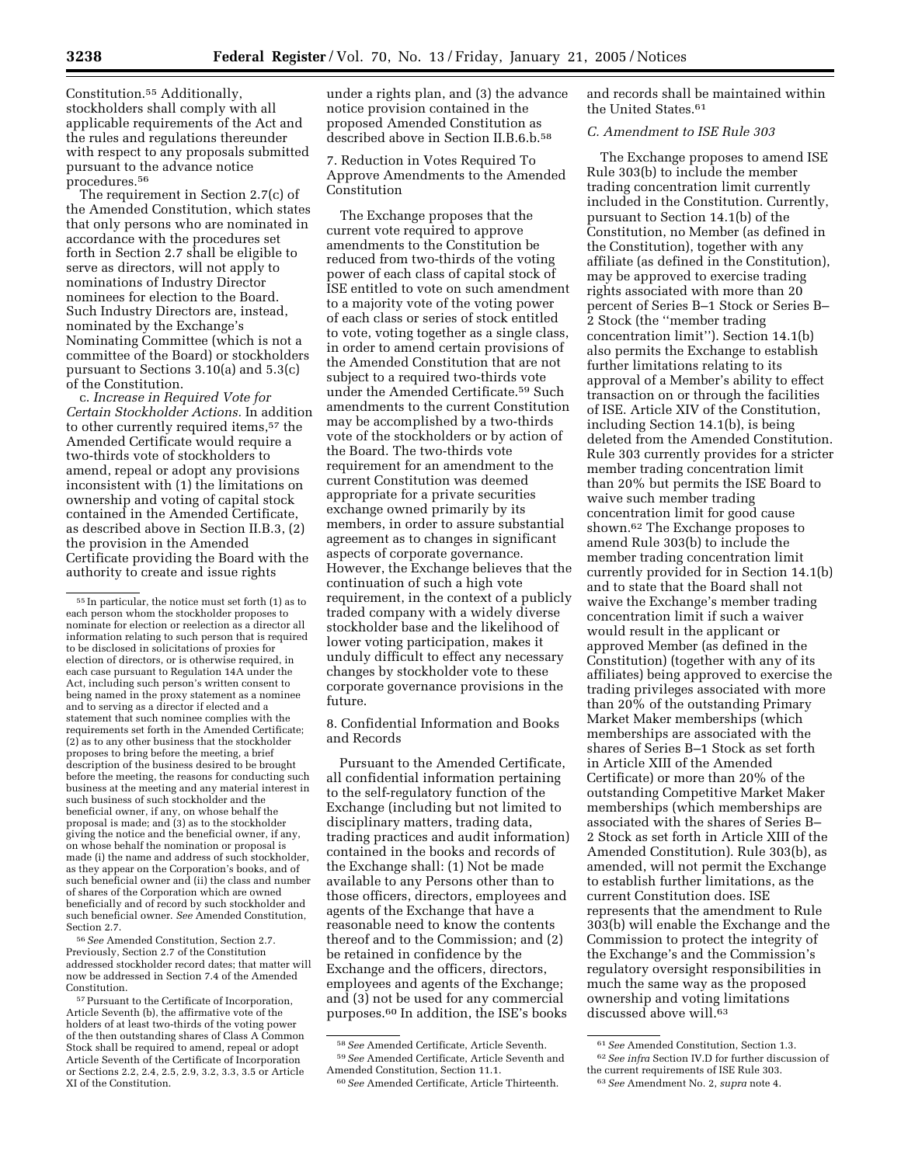Constitution.55 Additionally, stockholders shall comply with all applicable requirements of the Act and the rules and regulations thereunder with respect to any proposals submitted pursuant to the advance notice procedures.56

The requirement in Section 2.7(c) of the Amended Constitution, which states that only persons who are nominated in accordance with the procedures set forth in Section 2.7 shall be eligible to serve as directors, will not apply to nominations of Industry Director nominees for election to the Board. Such Industry Directors are, instead, nominated by the Exchange's Nominating Committee (which is not a committee of the Board) or stockholders pursuant to Sections 3.10(a) and 5.3(c) of the Constitution.

c. *Increase in Required Vote for Certain Stockholder Actions.* In addition to other currently required items,57 the Amended Certificate would require a two-thirds vote of stockholders to amend, repeal or adopt any provisions inconsistent with (1) the limitations on ownership and voting of capital stock contained in the Amended Certificate, as described above in Section II.B.3, (2) the provision in the Amended Certificate providing the Board with the authority to create and issue rights

56*See* Amended Constitution, Section 2.7. Previously, Section 2.7 of the Constitution addressed stockholder record dates; that matter will now be addressed in Section 7.4 of the Amended Constitution.

under a rights plan, and (3) the advance notice provision contained in the proposed Amended Constitution as described above in Section II.B.6.b.58

7. Reduction in Votes Required To Approve Amendments to the Amended Constitution

The Exchange proposes that the current vote required to approve amendments to the Constitution be reduced from two-thirds of the voting power of each class of capital stock of ISE entitled to vote on such amendment to a majority vote of the voting power of each class or series of stock entitled to vote, voting together as a single class, in order to amend certain provisions of the Amended Constitution that are not subject to a required two-thirds vote under the Amended Certificate.59 Such amendments to the current Constitution may be accomplished by a two-thirds vote of the stockholders or by action of the Board. The two-thirds vote requirement for an amendment to the current Constitution was deemed appropriate for a private securities exchange owned primarily by its members, in order to assure substantial agreement as to changes in significant aspects of corporate governance. However, the Exchange believes that the continuation of such a high vote requirement, in the context of a publicly traded company with a widely diverse stockholder base and the likelihood of lower voting participation, makes it unduly difficult to effect any necessary changes by stockholder vote to these corporate governance provisions in the future.

8. Confidential Information and Books and Records

Pursuant to the Amended Certificate, all confidential information pertaining to the self-regulatory function of the Exchange (including but not limited to disciplinary matters, trading data, trading practices and audit information) contained in the books and records of the Exchange shall: (1) Not be made available to any Persons other than to those officers, directors, employees and agents of the Exchange that have a reasonable need to know the contents thereof and to the Commission; and (2) be retained in confidence by the Exchange and the officers, directors, employees and agents of the Exchange; and (3) not be used for any commercial purposes.60 In addition, the ISE's books

and records shall be maintained within the United States.<sup>61</sup>

# *C. Amendment to ISE Rule 303*

The Exchange proposes to amend ISE Rule 303(b) to include the member trading concentration limit currently included in the Constitution. Currently, pursuant to Section 14.1(b) of the Constitution, no Member (as defined in the Constitution), together with any affiliate (as defined in the Constitution), may be approved to exercise trading rights associated with more than 20 percent of Series B–1 Stock or Series B– 2 Stock (the ''member trading concentration limit''). Section 14.1(b) also permits the Exchange to establish further limitations relating to its approval of a Member's ability to effect transaction on or through the facilities of ISE. Article XIV of the Constitution, including Section 14.1(b), is being deleted from the Amended Constitution. Rule 303 currently provides for a stricter member trading concentration limit than 20% but permits the ISE Board to waive such member trading concentration limit for good cause shown.62 The Exchange proposes to amend Rule 303(b) to include the member trading concentration limit currently provided for in Section 14.1(b) and to state that the Board shall not waive the Exchange's member trading concentration limit if such a waiver would result in the applicant or approved Member (as defined in the Constitution) (together with any of its affiliates) being approved to exercise the trading privileges associated with more than 20% of the outstanding Primary Market Maker memberships (which memberships are associated with the shares of Series B–1 Stock as set forth in Article XIII of the Amended Certificate) or more than 20% of the outstanding Competitive Market Maker memberships (which memberships are associated with the shares of Series B– 2 Stock as set forth in Article XIII of the Amended Constitution). Rule 303(b), as amended, will not permit the Exchange to establish further limitations, as the current Constitution does. ISE represents that the amendment to Rule 303(b) will enable the Exchange and the Commission to protect the integrity of the Exchange's and the Commission's regulatory oversight responsibilities in much the same way as the proposed ownership and voting limitations discussed above will.<sup>63</sup>

<sup>55</sup> In particular, the notice must set forth (1) as to each person whom the stockholder proposes to nominate for election or reelection as a director all information relating to such person that is required to be disclosed in solicitations of proxies for election of directors, or is otherwise required, in each case pursuant to Regulation 14A under the Act, including such person's written consent to being named in the proxy statement as a nominee and to serving as a director if elected and a statement that such nominee complies with the requirements set forth in the Amended Certificate; (2) as to any other business that the stockholder proposes to bring before the meeting, a brief description of the business desired to be brought before the meeting, the reasons for conducting such business at the meeting and any material interest in such business of such stockholder and the beneficial owner, if any, on whose behalf the proposal is made; and (3) as to the stockholder giving the notice and the beneficial owner, if any, on whose behalf the nomination or proposal is made (i) the name and address of such stockholder, as they appear on the Corporation's books, and of such beneficial owner and (ii) the class and number of shares of the Corporation which are owned beneficially and of record by such stockholder and such beneficial owner. *See* Amended Constitution, Section 2.7.

<sup>57</sup>Pursuant to the Certificate of Incorporation, Article Seventh (b), the affirmative vote of the holders of at least two-thirds of the voting power of the then outstanding shares of Class A Common Stock shall be required to amend, repeal or adopt Article Seventh of the Certificate of Incorporation or Sections 2.2, 2.4, 2.5, 2.9, 3.2, 3.3, 3.5 or Article XI of the Constitution.

<sup>58</sup>*See* Amended Certificate, Article Seventh. 59*See* Amended Certificate, Article Seventh and Amended Constitution, Section 11.1.

<sup>60</sup>*See* Amended Certificate, Article Thirteenth.

<sup>61</sup>*See* Amended Constitution, Section 1.3.

<sup>62</sup>*See infra* Section IV.D for further discussion of the current requirements of ISE Rule 303.

<sup>63</sup>*See* Amendment No. 2, *supra* note 4.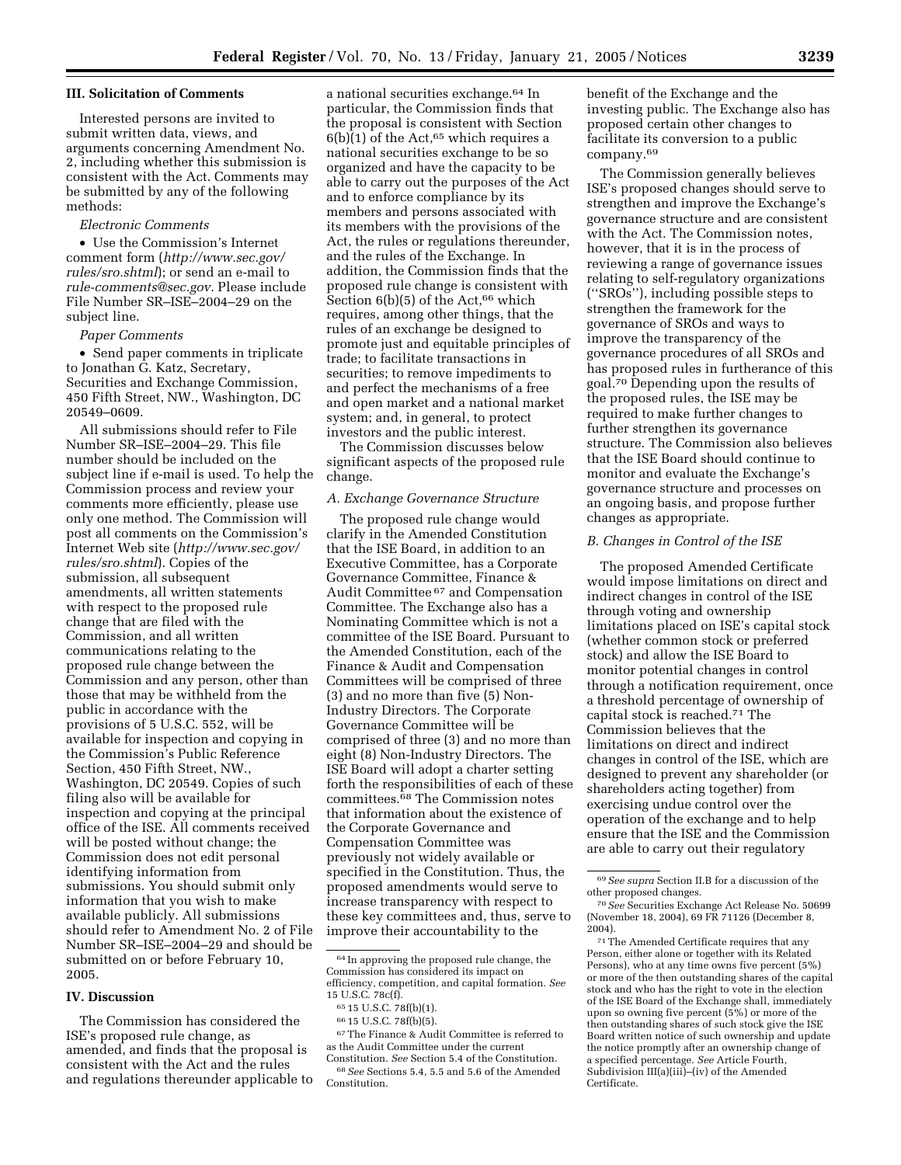### **III. Solicitation of Comments**

Interested persons are invited to submit written data, views, and arguments concerning Amendment No. 2, including whether this submission is consistent with the Act. Comments may be submitted by any of the following methods:

# *Electronic Comments*

• Use the Commission's Internet comment form (*http://www.sec.gov/ rules/sro.shtml*); or send an e-mail to *rule-comments@sec.gov*. Please include File Number SR–ISE–2004–29 on the subject line.

#### *Paper Comments*

• Send paper comments in triplicate to Jonathan G. Katz, Secretary, Securities and Exchange Commission, 450 Fifth Street, NW., Washington, DC 20549–0609.

All submissions should refer to File Number SR–ISE–2004–29. This file number should be included on the subject line if e-mail is used. To help the Commission process and review your comments more efficiently, please use only one method. The Commission will post all comments on the Commission's Internet Web site (*http://www.sec.gov/ rules/sro.shtml*). Copies of the submission, all subsequent amendments, all written statements with respect to the proposed rule change that are filed with the Commission, and all written communications relating to the proposed rule change between the Commission and any person, other than those that may be withheld from the public in accordance with the provisions of 5 U.S.C. 552, will be available for inspection and copying in the Commission's Public Reference Section, 450 Fifth Street, NW., Washington, DC 20549. Copies of such filing also will be available for inspection and copying at the principal office of the ISE. All comments received will be posted without change; the Commission does not edit personal identifying information from submissions. You should submit only information that you wish to make available publicly. All submissions should refer to Amendment No. 2 of File Number SR–ISE–2004–29 and should be submitted on or before February 10, 2005.

# **IV. Discussion**

The Commission has considered the ISE's proposed rule change, as amended, and finds that the proposal is consistent with the Act and the rules and regulations thereunder applicable to

a national securities exchange.64 In particular, the Commission finds that the proposal is consistent with Section  $6(b)(1)$  of the Act,<sup>65</sup> which requires a national securities exchange to be so organized and have the capacity to be able to carry out the purposes of the Act and to enforce compliance by its members and persons associated with its members with the provisions of the Act, the rules or regulations thereunder, and the rules of the Exchange. In addition, the Commission finds that the proposed rule change is consistent with Section  $6(b)(5)$  of the Act,<sup>66</sup> which requires, among other things, that the rules of an exchange be designed to promote just and equitable principles of trade; to facilitate transactions in securities; to remove impediments to and perfect the mechanisms of a free and open market and a national market system; and, in general, to protect investors and the public interest.

The Commission discusses below significant aspects of the proposed rule change.

#### *A. Exchange Governance Structure*

The proposed rule change would clarify in the Amended Constitution that the ISE Board, in addition to an Executive Committee, has a Corporate Governance Committee, Finance & Audit Committee 67 and Compensation Committee. The Exchange also has a Nominating Committee which is not a committee of the ISE Board. Pursuant to the Amended Constitution, each of the Finance & Audit and Compensation Committees will be comprised of three (3) and no more than five (5) Non-Industry Directors. The Corporate Governance Committee will be comprised of three (3) and no more than eight (8) Non-Industry Directors. The ISE Board will adopt a charter setting forth the responsibilities of each of these committees.68 The Commission notes that information about the existence of the Corporate Governance and Compensation Committee was previously not widely available or specified in the Constitution. Thus, the proposed amendments would serve to increase transparency with respect to these key committees and, thus, serve to improve their accountability to the

66 15 U.S.C. 78f(b)(5).

Constitution.

67The Finance & Audit Committee is referred to as the Audit Committee under the current Constitution. *See* Section 5.4 of the Constitution. 68*See* Sections 5.4, 5.5 and 5.6 of the Amended

benefit of the Exchange and the investing public. The Exchange also has proposed certain other changes to facilitate its conversion to a public company.69

The Commission generally believes ISE's proposed changes should serve to strengthen and improve the Exchange's governance structure and are consistent with the Act. The Commission notes, however, that it is in the process of reviewing a range of governance issues relating to self-regulatory organizations (''SROs''), including possible steps to strengthen the framework for the governance of SROs and ways to improve the transparency of the governance procedures of all SROs and has proposed rules in furtherance of this goal.70 Depending upon the results of the proposed rules, the ISE may be required to make further changes to further strengthen its governance structure. The Commission also believes that the ISE Board should continue to monitor and evaluate the Exchange's governance structure and processes on an ongoing basis, and propose further changes as appropriate.

### *B. Changes in Control of the ISE*

The proposed Amended Certificate would impose limitations on direct and indirect changes in control of the ISE through voting and ownership limitations placed on ISE's capital stock (whether common stock or preferred stock) and allow the ISE Board to monitor potential changes in control through a notification requirement, once a threshold percentage of ownership of capital stock is reached.71 The Commission believes that the limitations on direct and indirect changes in control of the ISE, which are designed to prevent any shareholder (or shareholders acting together) from exercising undue control over the operation of the exchange and to help ensure that the ISE and the Commission are able to carry out their regulatory

71The Amended Certificate requires that any Person, either alone or together with its Related Persons), who at any time owns five percent (5%) or more of the then outstanding shares of the capital stock and who has the right to vote in the election of the ISE Board of the Exchange shall, immediately upon so owning five percent (5%) or more of the then outstanding shares of such stock give the ISE Board written notice of such ownership and update the notice promptly after an ownership change of a specified percentage. *See* Article Fourth, Subdivision III(a)(iii)–(iv) of the Amended Certificate.

<sup>64</sup> In approving the proposed rule change, the Commission has considered its impact on efficiency, competition, and capital formation. *See* 15 U.S.C. 78c(f).

<sup>65</sup> 15 U.S.C. 78f(b)(1).

<sup>69</sup>*See supra* Section II.B for a discussion of the other proposed changes.

<sup>70</sup>*See* Securities Exchange Act Release No. 50699 (November 18, 2004), 69 FR 71126 (December 8, 2004).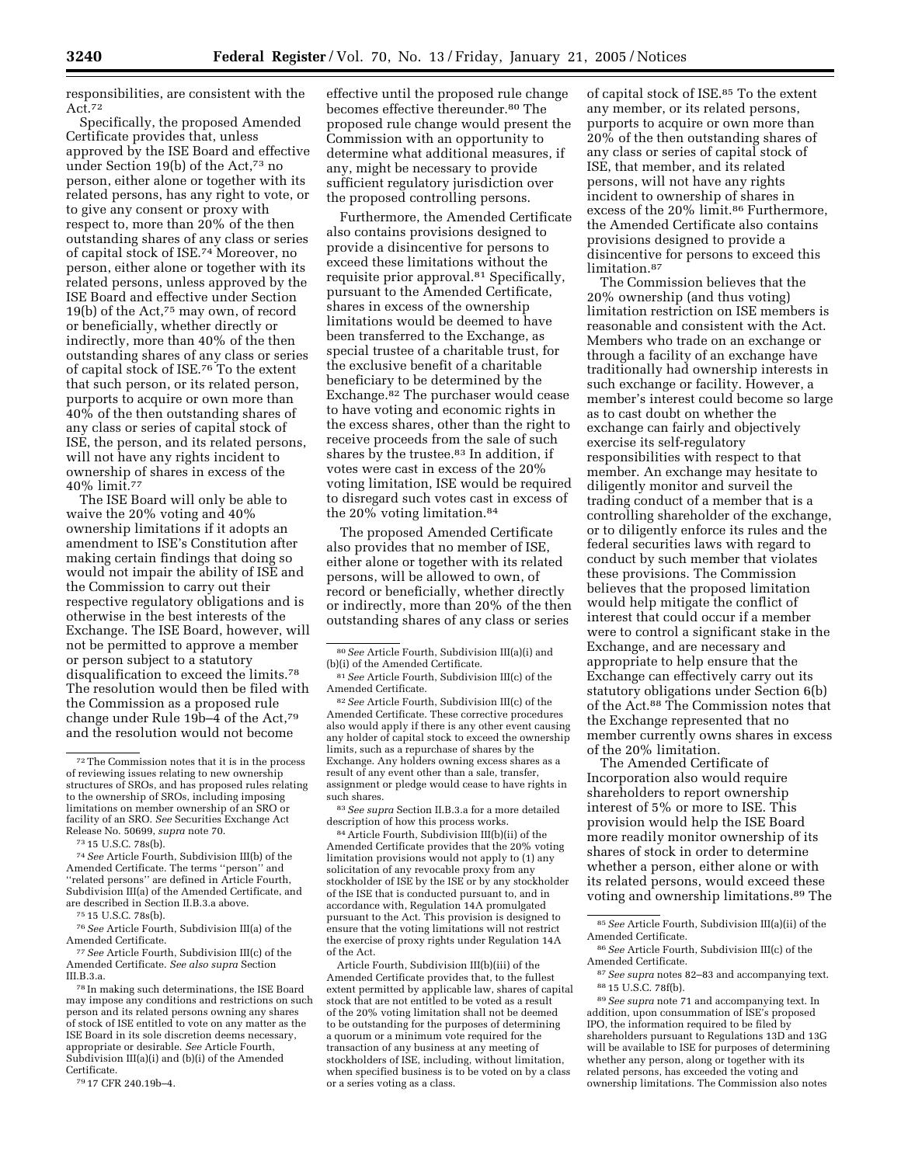responsibilities, are consistent with the Act.72

Specifically, the proposed Amended Certificate provides that, unless approved by the ISE Board and effective under Section 19(b) of the Act,73 no person, either alone or together with its related persons, has any right to vote, or to give any consent or proxy with respect to, more than 20% of the then outstanding shares of any class or series of capital stock of ISE.74 Moreover, no person, either alone or together with its related persons, unless approved by the ISE Board and effective under Section 19(b) of the Act,75 may own, of record or beneficially, whether directly or indirectly, more than 40% of the then outstanding shares of any class or series of capital stock of ISE.76 To the extent that such person, or its related person, purports to acquire or own more than 40% of the then outstanding shares of any class or series of capital stock of ISE, the person, and its related persons, will not have any rights incident to ownership of shares in excess of the 40% limit.77

The ISE Board will only be able to waive the 20% voting and 40% ownership limitations if it adopts an amendment to ISE's Constitution after making certain findings that doing so would not impair the ability of ISE and the Commission to carry out their respective regulatory obligations and is otherwise in the best interests of the Exchange. The ISE Board, however, will not be permitted to approve a member or person subject to a statutory disqualification to exceed the limits.78 The resolution would then be filed with the Commission as a proposed rule change under Rule  $19b-4$  of the Act,<sup>79</sup> and the resolution would not become

74*See* Article Fourth, Subdivision III(b) of the Amended Certificate. The terms ''person'' and ''related persons'' are defined in Article Fourth, Subdivision III(a) of the Amended Certificate, and are described in Section II.B.3.a above.

75 15 U.S.C. 78s(b).

77*See* Article Fourth, Subdivision III(c) of the Amended Certificate. *See also supra* Section  $III.R.3.a.$ 

78 In making such determinations, the ISE Board may impose any conditions and restrictions on such person and its related persons owning any shares of stock of ISE entitled to vote on any matter as the ISE Board in its sole discretion deems necessary, appropriate or desirable. *See* Article Fourth, Subdivision III(a)(i) and (b)(i) of the Amended Certificate.

79 17 CFR 240.19b–4.

effective until the proposed rule change becomes effective thereunder.<sup>80</sup> The proposed rule change would present the Commission with an opportunity to determine what additional measures, if any, might be necessary to provide sufficient regulatory jurisdiction over the proposed controlling persons.

Furthermore, the Amended Certificate also contains provisions designed to provide a disincentive for persons to exceed these limitations without the requisite prior approval.81 Specifically, pursuant to the Amended Certificate, shares in excess of the ownership limitations would be deemed to have been transferred to the Exchange, as special trustee of a charitable trust, for the exclusive benefit of a charitable beneficiary to be determined by the Exchange.82 The purchaser would cease to have voting and economic rights in the excess shares, other than the right to receive proceeds from the sale of such shares by the trustee.83 In addition, if votes were cast in excess of the 20% voting limitation, ISE would be required to disregard such votes cast in excess of the 20% voting limitation.84

The proposed Amended Certificate also provides that no member of ISE, either alone or together with its related persons, will be allowed to own, of record or beneficially, whether directly or indirectly, more than 20% of the then outstanding shares of any class or series

83*See supra* Section II.B.3.a for a more detailed description of how this process works.

84Article Fourth, Subdivision III(b)(ii) of the Amended Certificate provides that the 20% voting limitation provisions would not apply to (1) any solicitation of any revocable proxy from any stockholder of ISE by the ISE or by any stockholder of the ISE that is conducted pursuant to, and in accordance with, Regulation 14A promulgated pursuant to the Act. This provision is designed to ensure that the voting limitations will not restrict the exercise of proxy rights under Regulation 14A of the Act.

Article Fourth, Subdivision III(b)(iii) of the Amended Certificate provides that, to the fullest extent permitted by applicable law, shares of capital stock that are not entitled to be voted as a result of the 20% voting limitation shall not be deemed to be outstanding for the purposes of determining a quorum or a minimum vote required for the transaction of any business at any meeting of stockholders of ISE, including, without limitation, when specified business is to be voted on by a class or a series voting as a class.

of capital stock of ISE.85 To the extent any member, or its related persons, purports to acquire or own more than 20% of the then outstanding shares of any class or series of capital stock of ISE, that member, and its related persons, will not have any rights incident to ownership of shares in excess of the 20% limit.<sup>86</sup> Furthermore, the Amended Certificate also contains provisions designed to provide a disincentive for persons to exceed this limitation.87

The Commission believes that the 20% ownership (and thus voting) limitation restriction on ISE members is reasonable and consistent with the Act. Members who trade on an exchange or through a facility of an exchange have traditionally had ownership interests in such exchange or facility. However, a member's interest could become so large as to cast doubt on whether the exchange can fairly and objectively exercise its self-regulatory responsibilities with respect to that member. An exchange may hesitate to diligently monitor and surveil the trading conduct of a member that is a controlling shareholder of the exchange, or to diligently enforce its rules and the federal securities laws with regard to conduct by such member that violates these provisions. The Commission believes that the proposed limitation would help mitigate the conflict of interest that could occur if a member were to control a significant stake in the Exchange, and are necessary and appropriate to help ensure that the Exchange can effectively carry out its statutory obligations under Section 6(b) of the Act.88 The Commission notes that the Exchange represented that no member currently owns shares in excess of the 20% limitation.

The Amended Certificate of Incorporation also would require shareholders to report ownership interest of 5% or more to ISE. This provision would help the ISE Board more readily monitor ownership of its shares of stock in order to determine whether a person, either alone or with its related persons, would exceed these voting and ownership limitations.89 The

86*See* Article Fourth, Subdivision III(c) of the Amended Certificate.

87*See supra* notes 82–83 and accompanying text. 88 15 U.S.C. 78f(b).

89*See supra* note 71 and accompanying text. In addition, upon consummation of ISE's proposed IPO, the information required to be filed by shareholders pursuant to Regulations 13D and 13G will be available to ISE for purposes of determining whether any person, along or together with its related persons, has exceeded the voting and ownership limitations. The Commission also notes

<sup>72</sup>The Commission notes that it is in the process of reviewing issues relating to new ownership structures of SROs, and has proposed rules relating to the ownership of SROs, including imposing limitations on member ownership of an SRO or facility of an SRO. *See* Securities Exchange Act Release No. 50699, *supra* note 70.

<sup>73</sup> 15 U.S.C. 78s(b).

<sup>76</sup>*See* Article Fourth, Subdivision III(a) of the Amended Certificate.

<sup>80</sup>*See* Article Fourth, Subdivision III(a)(i) and (b)(i) of the Amended Certificate.

<sup>81</sup>*See* Article Fourth, Subdivision III(c) of the Amended Certificate.

<sup>82</sup>*See* Article Fourth, Subdivision III(c) of the Amended Certificate. These corrective procedures also would apply if there is any other event causing any holder of capital stock to exceed the ownership limits, such as a repurchase of shares by the Exchange. Any holders owning excess shares as a result of any event other than a sale, transfer, assignment or pledge would cease to have rights in such shares.

<sup>85</sup>*See* Article Fourth, Subdivision III(a)(ii) of the Amended Certificate.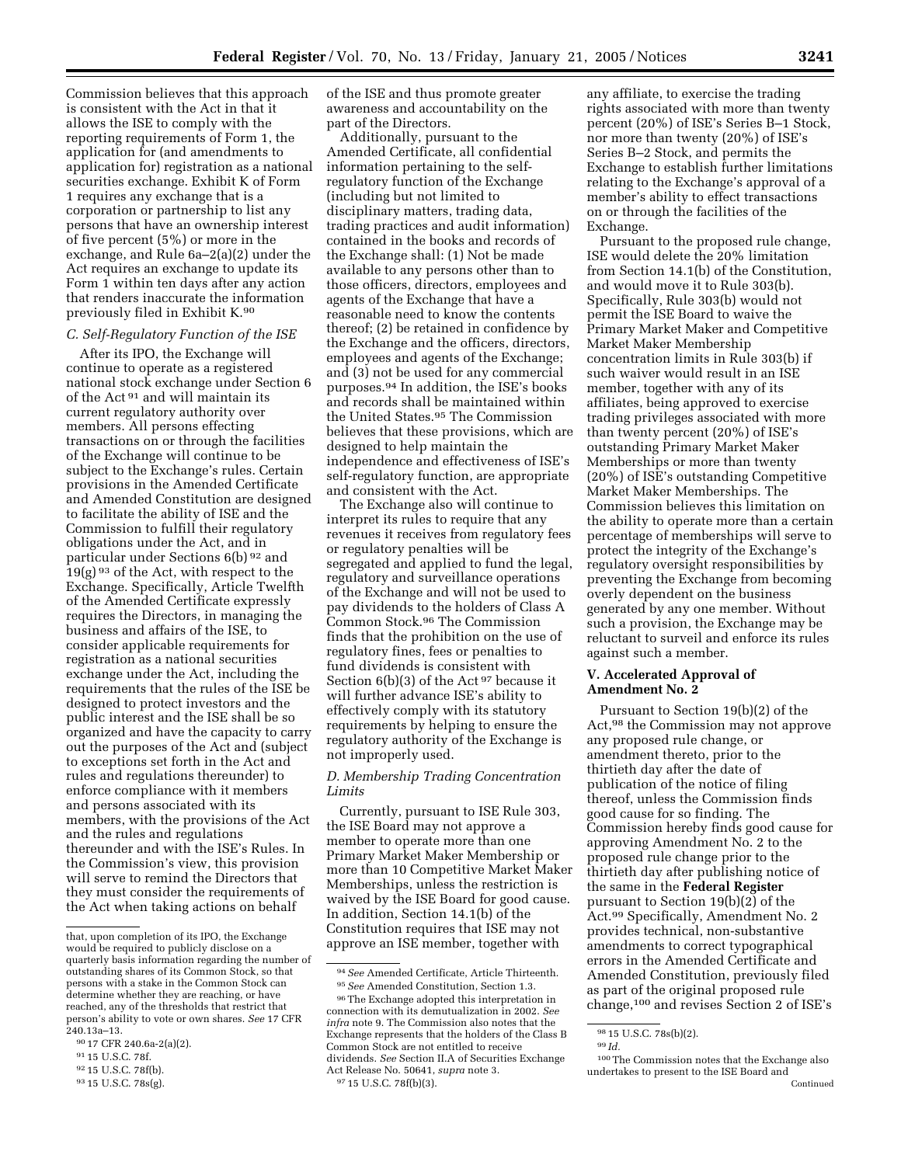Commission believes that this approach is consistent with the Act in that it allows the ISE to comply with the reporting requirements of Form 1, the application for (and amendments to application for) registration as a national securities exchange. Exhibit K of Form 1 requires any exchange that is a corporation or partnership to list any persons that have an ownership interest of five percent (5%) or more in the exchange, and Rule 6a–2(a)(2) under the Act requires an exchange to update its Form 1 within ten days after any action that renders inaccurate the information previously filed in Exhibit K.90

### *C. Self-Regulatory Function of the ISE*

After its IPO, the Exchange will continue to operate as a registered national stock exchange under Section 6 of the Act 91 and will maintain its current regulatory authority over members. All persons effecting transactions on or through the facilities of the Exchange will continue to be subject to the Exchange's rules. Certain provisions in the Amended Certificate and Amended Constitution are designed to facilitate the ability of ISE and the Commission to fulfill their regulatory obligations under the Act, and in particular under Sections 6(b) 92 and  $19(g)$ <sup>93</sup> of the Act, with respect to the Exchange. Specifically, Article Twelfth of the Amended Certificate expressly requires the Directors, in managing the business and affairs of the ISE, to consider applicable requirements for registration as a national securities exchange under the Act, including the requirements that the rules of the ISE be designed to protect investors and the public interest and the ISE shall be so organized and have the capacity to carry out the purposes of the Act and (subject to exceptions set forth in the Act and rules and regulations thereunder) to enforce compliance with it members and persons associated with its members, with the provisions of the Act and the rules and regulations thereunder and with the ISE's Rules. In the Commission's view, this provision will serve to remind the Directors that they must consider the requirements of the Act when taking actions on behalf

of the ISE and thus promote greater awareness and accountability on the part of the Directors.

Additionally, pursuant to the Amended Certificate, all confidential information pertaining to the selfregulatory function of the Exchange (including but not limited to disciplinary matters, trading data, trading practices and audit information) contained in the books and records of the Exchange shall: (1) Not be made available to any persons other than to those officers, directors, employees and agents of the Exchange that have a reasonable need to know the contents thereof; (2) be retained in confidence by the Exchange and the officers, directors, employees and agents of the Exchange; and (3) not be used for any commercial purposes.94 In addition, the ISE's books and records shall be maintained within the United States.95 The Commission believes that these provisions, which are designed to help maintain the independence and effectiveness of ISE's self-regulatory function, are appropriate and consistent with the Act.

The Exchange also will continue to interpret its rules to require that any revenues it receives from regulatory fees or regulatory penalties will be segregated and applied to fund the legal, regulatory and surveillance operations of the Exchange and will not be used to pay dividends to the holders of Class A Common Stock.96 The Commission finds that the prohibition on the use of regulatory fines, fees or penalties to fund dividends is consistent with Section 6(b)(3) of the Act <sup>97</sup> because it will further advance ISE's ability to effectively comply with its statutory requirements by helping to ensure the regulatory authority of the Exchange is not improperly used.

# *D. Membership Trading Concentration Limits*

Currently, pursuant to ISE Rule 303, the ISE Board may not approve a member to operate more than one Primary Market Maker Membership or more than 10 Competitive Market Maker Memberships, unless the restriction is waived by the ISE Board for good cause. In addition, Section 14.1(b) of the Constitution requires that ISE may not approve an ISE member, together with

any affiliate, to exercise the trading rights associated with more than twenty percent (20%) of ISE's Series B–1 Stock, nor more than twenty (20%) of ISE's Series B–2 Stock, and permits the Exchange to establish further limitations relating to the Exchange's approval of a member's ability to effect transactions on or through the facilities of the Exchange.

Pursuant to the proposed rule change, ISE would delete the 20% limitation from Section 14.1(b) of the Constitution, and would move it to Rule 303(b). Specifically, Rule 303(b) would not permit the ISE Board to waive the Primary Market Maker and Competitive Market Maker Membership concentration limits in Rule 303(b) if such waiver would result in an ISE member, together with any of its affiliates, being approved to exercise trading privileges associated with more than twenty percent (20%) of ISE's outstanding Primary Market Maker Memberships or more than twenty (20%) of ISE's outstanding Competitive Market Maker Memberships. The Commission believes this limitation on the ability to operate more than a certain percentage of memberships will serve to protect the integrity of the Exchange's regulatory oversight responsibilities by preventing the Exchange from becoming overly dependent on the business generated by any one member. Without such a provision, the Exchange may be reluctant to surveil and enforce its rules against such a member.

## **V. Accelerated Approval of Amendment No. 2**

Pursuant to Section 19(b)(2) of the Act,98 the Commission may not approve any proposed rule change, or amendment thereto, prior to the thirtieth day after the date of publication of the notice of filing thereof, unless the Commission finds good cause for so finding. The Commission hereby finds good cause for approving Amendment No. 2 to the proposed rule change prior to the thirtieth day after publishing notice of the same in the **Federal Register** pursuant to Section 19(b)(2) of the Act.99 Specifically, Amendment No. 2 provides technical, non-substantive amendments to correct typographical errors in the Amended Certificate and Amended Constitution, previously filed as part of the original proposed rule change,100 and revises Section 2 of ISE's

that, upon completion of its IPO, the Exchange would be required to publicly disclose on a quarterly basis information regarding the number of outstanding shares of its Common Stock, so that persons with a stake in the Common Stock can determine whether they are reaching, or have reached, any of the thresholds that restrict that person's ability to vote or own shares. *See* 17 CFR 240.13a–13.

<sup>90</sup> 17 CFR 240.6a-2(a)(2).

<sup>91</sup> 15 U.S.C. 78f.

<sup>92</sup> 15 U.S.C. 78f(b).

<sup>93</sup> 15 U.S.C. 78s(g).

<sup>94</sup>*See* Amended Certificate, Article Thirteenth. 95*See* Amended Constitution, Section 1.3.

<sup>96</sup>The Exchange adopted this interpretation in connection with its demutualization in 2002. *See infra* note 9. The Commission also notes that the Exchange represents that the holders of the Class B Common Stock are not entitled to receive dividends. *See* Section II.A of Securities Exchange Act Release No. 50641, *supra* note 3. 97 15 U.S.C. 78f(b)(3).

<sup>98</sup> 15 U.S.C. 78s(b)(2).

<sup>99</sup> *Id.*

<sup>100</sup>The Commission notes that the Exchange also undertakes to present to the ISE Board and Continued